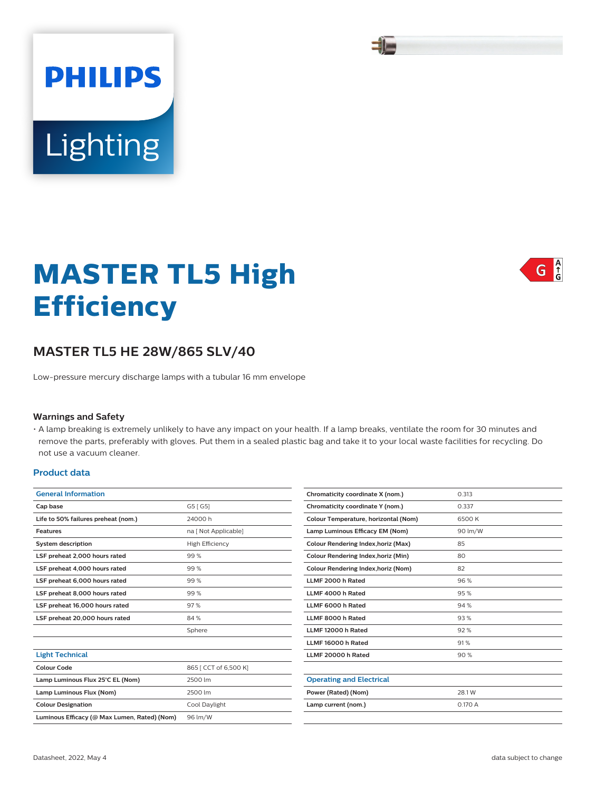# **MASTER TL5 High Efficiency**

## **MASTER TL5 HE 28W/865 SLV/40**

Low-pressure mercury discharge lamps with a tubular 16 mm envelope

#### **Warnings and Safety**

Lighting

**PHILIPS** 

• A lamp breaking is extremely unlikely to have any impact on your health. If a lamp breaks, ventilate the room for 30 minutes and remove the parts, preferably with gloves. Put them in a sealed plastic bag and take it to your local waste facilities for recycling. Do not use a vacuum cleaner.

## **Product data**

| <b>General Information</b>                   |                        |  |  |
|----------------------------------------------|------------------------|--|--|
| Cap base                                     | G5 [ G5]               |  |  |
| Life to 50% failures preheat (nom.)          | 24000 h                |  |  |
| Features                                     | na [ Not Applicable]   |  |  |
| <b>System description</b>                    | <b>High Efficiency</b> |  |  |
| LSF preheat 2,000 hours rated                | 99%                    |  |  |
| LSF preheat 4,000 hours rated                | 99%                    |  |  |
| LSF preheat 6,000 hours rated                | 99%                    |  |  |
| LSF preheat 8,000 hours rated                | 99%                    |  |  |
| LSF preheat 16,000 hours rated               | 97%                    |  |  |
| LSF preheat 20,000 hours rated               | 84%                    |  |  |
|                                              | Sphere                 |  |  |
|                                              |                        |  |  |
| <b>Light Technical</b>                       |                        |  |  |
| Colour Code                                  | 865   CCT of 6,500 K]  |  |  |
| Lamp Luminous Flux 25°C EL (Nom)             | 2500 lm                |  |  |
| Lamp Luminous Flux (Nom)                     | 2500 lm                |  |  |
| <b>Colour Designation</b>                    | Cool Daylight          |  |  |
| Luminous Efficacy (@ Max Lumen, Rated) (Nom) | 96 lm/W                |  |  |

| Chromaticity coordinate X (nom.)           | 0.313   |
|--------------------------------------------|---------|
| Chromaticity coordinate Y (nom.)           | 0.337   |
| Colour Temperature, horizontal (Nom)       | 6500 K  |
| Lamp Luminous Efficacy EM (Nom)            | 90 lm/W |
| Colour Rendering Index, horiz (Max)        | 85      |
| Colour Rendering Index, horiz (Min)        | 80      |
| <b>Colour Rendering Index, horiz (Nom)</b> | 82      |
| LLMF 2000 h Rated                          | 96%     |
| LLMF 4000 h Rated                          | 95%     |
| LLMF 6000 h Rated                          | 94 %    |
| LLMF 8000 h Rated                          | 93%     |
| LLMF 12000 h Rated                         | 92%     |
| LLMF 16000 h Rated                         | 91%     |
| LLMF 20000 h Rated                         | 90%     |
|                                            |         |
| <b>Operating and Electrical</b>            |         |
| Power (Rated) (Nom)                        | 28.1 W  |
| Lamp current (nom.)                        | 0.170A  |
|                                            |         |





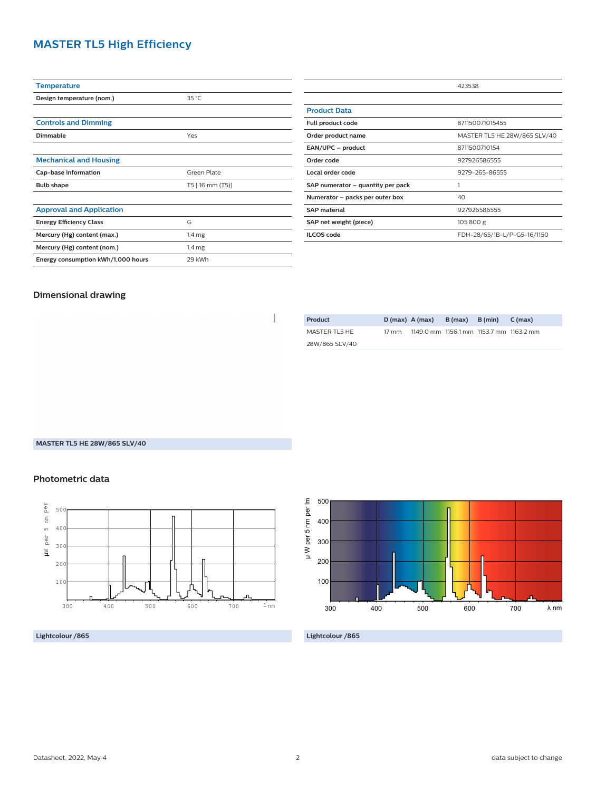## **MASTER TL5 High Efficiency**

| <b>Temperature</b>                 |                   |  |  |
|------------------------------------|-------------------|--|--|
| Design temperature (nom.)          | 35 °C             |  |  |
|                                    |                   |  |  |
| <b>Controls and Dimming</b>        |                   |  |  |
| Dimmable                           | Yes               |  |  |
|                                    |                   |  |  |
| <b>Mechanical and Housing</b>      |                   |  |  |
| Cap-base information               | Green Plate       |  |  |
| <b>Bulb shape</b>                  | T5 [16 mm (T5)]   |  |  |
|                                    |                   |  |  |
| <b>Approval and Application</b>    |                   |  |  |
| <b>Energy Efficiency Class</b>     | G                 |  |  |
| Mercury (Hg) content (max.)        | 1.4 <sub>mg</sub> |  |  |
| Mercury (Hg) content (nom.)        | 1.4 <sub>mg</sub> |  |  |
| Energy consumption kWh/1,000 hours | 29 kWh            |  |  |
|                                    |                   |  |  |

|                                   | 423538                       |  |  |
|-----------------------------------|------------------------------|--|--|
|                                   |                              |  |  |
| <b>Product Data</b>               |                              |  |  |
| Full product code                 | 871150071015455              |  |  |
| Order product name                | MASTER TL5 HE 28W/865 SLV/40 |  |  |
| EAN/UPC - product                 | 8711500710154                |  |  |
| Order code                        | 927926586555                 |  |  |
| Local order code                  | 9279-265-86555               |  |  |
| SAP numerator - quantity per pack |                              |  |  |
| Numerator – packs per outer box   | 40                           |  |  |
| <b>SAP material</b>               | 927926586555                 |  |  |
| SAP net weight (piece)            | 105.800 g                    |  |  |
| <b>ILCOS</b> code                 | FDH-28/65/1B-L/P-G5-16/1150  |  |  |

## **Dimensional drawing**

| Product        | $D(max)$ A (max) |                                         | $B(max)$ $B(min)$ | $C$ (max) |
|----------------|------------------|-----------------------------------------|-------------------|-----------|
| MASTER TL5 HE  | 17 mm            | 1149.0 mm 1156.1 mm 1153.7 mm 1163.2 mm |                   |           |
| 28W/865 SLV/40 |                  |                                         |                   |           |

**MASTER TL5 HE 28W/865 SLV/40**

### **Photometric data**



**Lightcolour /865**



**Lightcolour /865**